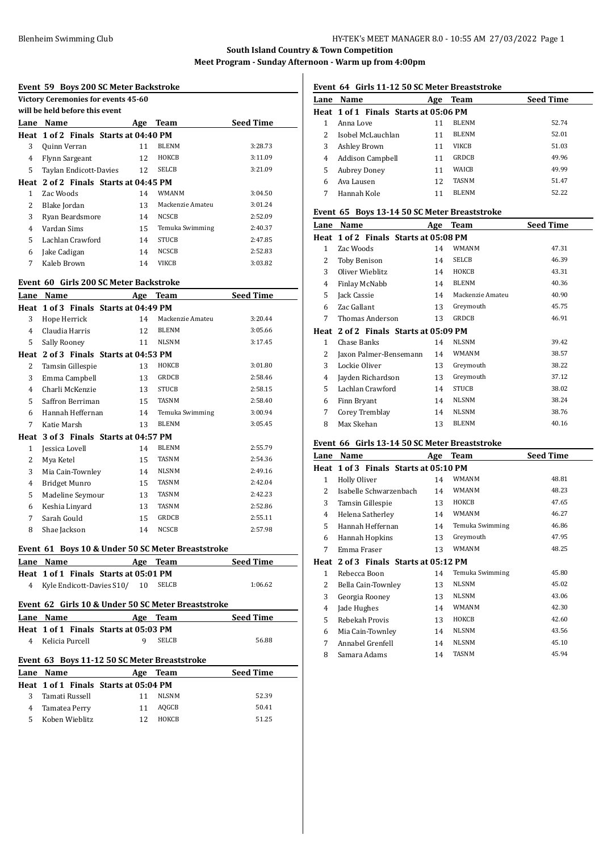| Event 59 Boys 200 SC Meter Backstroke |                                                    |     |                  |                  |
|---------------------------------------|----------------------------------------------------|-----|------------------|------------------|
|                                       | Victory Ceremonies for events 45-60                |     |                  |                  |
|                                       | will be held before this event                     |     |                  |                  |
|                                       | Lane Name                                          |     | Age Team         | <b>Seed Time</b> |
|                                       | Heat 1 of 2 Finals Starts at 04:40 PM              |     |                  |                  |
| 3                                     | Quinn Verran                                       | 11  | <b>BLENM</b>     | 3:28.73          |
| 4                                     | Flynn Sargeant                                     | 12  | ноксв            | 3:11.09          |
| 5                                     | Taylan Endicott-Davies                             | 12  | SELCB            | 3:21.09          |
|                                       | Heat 2 of 2 Finals Starts at 04:45 PM              |     |                  |                  |
| $\mathbf{1}$                          | Zac Woods                                          | 14  | WMANM            | 3:04.50          |
| 2                                     | Blake Jordan                                       | 13  | Mackenzie Amateu | 3:01.24          |
| 3                                     | Ryan Beardsmore                                    | 14  | <b>NCSCB</b>     | 2:52.09          |
| 4                                     | Vardan Sims                                        | 15  | Temuka Swimming  | 2:40.37          |
| 5                                     | Lachlan Crawford                                   | 14  | <b>STUCB</b>     | 2:47.85          |
| 6                                     | Jake Cadigan                                       | 14  | NCSCB            | 2:52.83          |
| 7                                     | Kaleb Brown                                        | 14  | VIKCB            | 3:03.82          |
|                                       |                                                    |     |                  |                  |
|                                       | Event 60 Girls 200 SC Meter Backstroke             |     |                  |                  |
|                                       | Lane Name                                          |     | Age Team         | <b>Seed Time</b> |
|                                       | Heat 1 of 3 Finals Starts at 04:49 PM              |     |                  |                  |
| 3                                     | Hope Herrick                                       | 14  | Mackenzie Amateu | 3:20.44          |
| 4                                     | Claudia Harris                                     | 12  | <b>BLENM</b>     | 3:05.66          |
| 5                                     | Sally Rooney                                       | 11  | <b>NLSNM</b>     | 3:17.45          |
|                                       | Heat 2 of 3 Finals Starts at 04:53 PM              |     |                  |                  |
| 2                                     | Tamsin Gillespie                                   | 13  | ноксв            | 3:01.80          |
| 3                                     | Emma Campbell                                      | 13  | GRDCB            | 2:58.46          |
| 4                                     | Charli McKenzie                                    | 13  | <b>STUCB</b>     | 2:58.15          |
| 5                                     | Saffron Berriman                                   | 15  | TASNM            | 2:58.40          |
| 6                                     | Hannah Heffernan                                   | 14  | Temuka Swimming  | 3:00.94          |
| 7                                     | Katie Marsh                                        | 13  | <b>BLENM</b>     | 3:05.45          |
|                                       | Heat 3 of 3 Finals Starts at 04:57 PM              |     |                  |                  |
| 1                                     | Jessica Lovell                                     | 14  | <b>BLENM</b>     | 2:55.79          |
| 2                                     | Mya Ketel                                          | 15  | TASNM            | 2:54.36          |
| 3                                     | Mia Cain-Townley                                   | 14  | <b>NLSNM</b>     | 2:49.16          |
| 4                                     | <b>Bridget Munro</b>                               | 15  | <b>TASNM</b>     | 2:42.04          |
| 5                                     | Madeline Seymour                                   | 13  | <b>TASNM</b>     | 2:42.23          |
| 6                                     | Keshia Linyard                                     | 13  | <b>TASNM</b>     | 2:52.86          |
| 7                                     | Sarah Gould                                        | 15  | GRDCB            | 2:55.11          |
| 8                                     | Shae Jackson                                       | 14  | NCSCB            | 2:57.98          |
|                                       |                                                    |     |                  |                  |
|                                       | Event 61 Boys 10 & Under 50 SC Meter Breaststroke  |     |                  |                  |
|                                       | Lane Name                                          |     | Age Team         | <b>Seed Time</b> |
|                                       | Heat 1 of 1 Finals Starts at 05:01 PM              |     |                  |                  |
| 4                                     | Kyle Endicott-Davies S10/                          | 10  | SELCB            | 1:06.62          |
|                                       | Event 62 Girls 10 & Under 50 SC Meter Breaststroke |     |                  |                  |
|                                       | Lane Name                                          |     | Age Team         | <b>Seed Time</b> |
|                                       | Heat 1 of 1 Finals Starts at 05:03 PM              |     |                  |                  |
| 4                                     | Kelicia Purcell                                    | 9   | SELCB            | 56.88            |
|                                       | Event 63 Boys 11-12 50 SC Meter Breaststroke       |     |                  |                  |
|                                       | Lane Name                                          | Age | <b>Team</b>      | Seed Time        |
|                                       | Heat 1 of 1 Finals Starts at 05:04 PM              |     |                  |                  |
|                                       |                                                    | 11  | <b>NLSNM</b>     | 52.39            |
| 3                                     | Tamati Russell                                     |     |                  |                  |
| 4                                     | Tamatea Perry                                      | 11  | AQGCB            | 50.41            |
| 5.                                    | Koben Wieblitz                                     | 12  | ноксв            | 51.25            |

# **Event 64 Girls 11-12 50 SC Meter Breaststroke**

|      | prent of this it is so bencan preased one |     |              |                  |
|------|-------------------------------------------|-----|--------------|------------------|
| Lane | Name                                      | Age | Team         | <b>Seed Time</b> |
|      | Heat 1 of 1 Finals Starts at 05:06 PM     |     |              |                  |
|      | Anna Love                                 | 11  | <b>BLENM</b> | 52.74            |
|      | Isobel McLauchlan                         | 11  | <b>BLENM</b> | 52.01            |
| 3    | <b>Ashley Brown</b>                       | 11  | <b>VIKCB</b> | 51.03            |
| 4    | Addison Campbell                          | 11  | GRDCB        | 49.96            |
| 5    | <b>Aubrey Doney</b>                       | 11  | <b>WAICB</b> | 49.99            |
| 6    | Ava Lausen                                | 12  | <b>TASNM</b> | 51.47            |
|      | Hannah Kole                               |     | <b>BLENM</b> | 52.22            |

### **Event 65 Boys 13-14 50 SC Meter Breaststroke**

| Lane           | Name                                  | Age | <b>Team</b>      | <b>Seed Time</b> |
|----------------|---------------------------------------|-----|------------------|------------------|
|                | Heat 1 of 2 Finals Starts at 05:08 PM |     |                  |                  |
| 1              | Zac Woods                             | 14  | WMANM            | 47.31            |
| $\overline{2}$ | <b>Toby Benison</b>                   | 14  | SELCB            | 46.39            |
| 3              | Oliver Wieblitz                       | 14  | ноксв            | 43.31            |
| 4              | Finlay McNabb                         | 14  | <b>BLENM</b>     | 40.36            |
| 5              | Jack Cassie                           | 14  | Mackenzie Amateu | 40.90            |
| 6              | Zac Gallant                           | 13  | Greymouth        | 45.75            |
| 7              | Thomas Anderson                       | 13  | <b>GRDCB</b>     | 46.91            |
|                | Heat 2 of 2 Finals Starts at 05:09 PM |     |                  |                  |
| $\mathbf{1}$   | Chase Banks                           | 14  | NLSNM            | 39.42            |
| 2              | Jaxon Palmer-Bensemann                | 14  | <b>WMANM</b>     | 38.57            |
| 3              | Lockie Oliver                         | 13  | Greymouth        | 38.22            |
| 4              | Jayden Richardson                     | 13  | Greymouth        | 37.12            |
| 5              | Lachlan Crawford                      | 14  | <b>STUCB</b>     | 38.02            |
| 6              | Finn Bryant                           | 14  | <b>NLSNM</b>     | 38.24            |
| 7              | Corey Tremblay                        | 14  | <b>NLSNM</b>     | 38.76            |
| 8              | Max Skehan                            | 13  | <b>BLENM</b>     | 40.16            |
|                |                                       |     |                  |                  |

# **Event 66 Girls 13-14 50 SC Meter Breaststroke**

| Lane | Name                                  | Age | Team            | <b>Seed Time</b> |  |  |
|------|---------------------------------------|-----|-----------------|------------------|--|--|
|      | Heat 1 of 3 Finals Starts at 05:10 PM |     |                 |                  |  |  |
| 1    | Holly Oliver                          | 14  | WMANM           | 48.81            |  |  |
| 2    | Isabelle Schwarzenbach                | 14  | <b>WMANM</b>    | 48.23            |  |  |
| 3    | Tamsin Gillespie                      | 13  | ноксв           | 47.65            |  |  |
| 4    | Helena Satherley                      | 14  | <b>WMANM</b>    | 46.27            |  |  |
| 5    | Hannah Heffernan                      | 14  | Temuka Swimming | 46.86            |  |  |
| 6    | Hannah Hopkins                        | 13  | Greymouth       | 47.95            |  |  |
| 7    | Emma Fraser                           | 13  | <b>WMANM</b>    | 48.25            |  |  |
| Heat | 2 of 3 Finals Starts at 05:12 PM      |     |                 |                  |  |  |
| 1    | Rebecca Boon                          | 14  | Temuka Swimming | 45.80            |  |  |
| 2    | Bella Cain-Townley                    | 13  | <b>NLSNM</b>    | 45.02            |  |  |
| 3    | Georgia Rooney                        | 13  | <b>NLSNM</b>    | 43.06            |  |  |
| 4    | Jade Hughes                           | 14  | <b>WMANM</b>    | 42.30            |  |  |
| 5    | Rebekah Provis                        | 13  | ноксв           | 42.60            |  |  |
| 6    | Mia Cain-Townley                      | 14  | NLSNM           | 43.56            |  |  |
| 7    | Annabel Grenfell                      | 14  | <b>NLSNM</b>    | 45.10            |  |  |
| 8    | Samara Adams                          | 14  | <b>TASNM</b>    | 45.94            |  |  |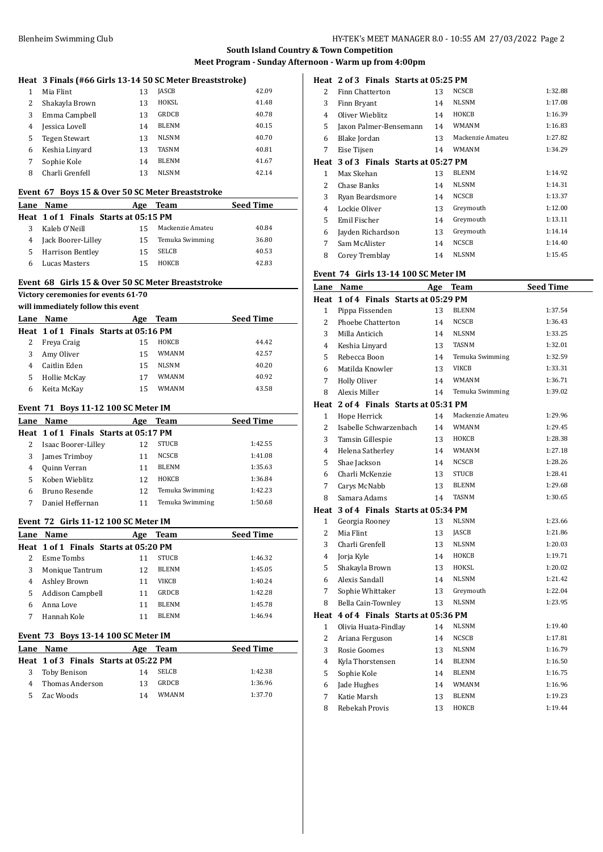|                                                                                               | Heat 3 Finals (#66 Girls 13-14 50 SC Meter Breaststroke) |     |                  |                  |  |  |
|-----------------------------------------------------------------------------------------------|----------------------------------------------------------|-----|------------------|------------------|--|--|
| 1                                                                                             | Mia Flint                                                | 13  | <b>JASCB</b>     | 42.09            |  |  |
| 2                                                                                             | Shakayla Brown                                           | 13  | HOKSL            | 41.48            |  |  |
| 3                                                                                             | Emma Campbell                                            | 13  | GRDCB            | 40.78            |  |  |
| 4                                                                                             | Jessica Lovell                                           | 14  | <b>BLENM</b>     | 40.15            |  |  |
| 5                                                                                             | <b>Tegen Stewart</b>                                     | 13  | <b>NLSNM</b>     | 40.70            |  |  |
| 6                                                                                             | Keshia Linyard                                           | 13  | TASNM            | 40.81            |  |  |
| 7                                                                                             | Sophie Kole                                              | 14  | <b>BLENM</b>     | 41.67            |  |  |
| 8                                                                                             | Charli Grenfell                                          | 13  | <b>NLSNM</b>     | 42.14            |  |  |
|                                                                                               |                                                          |     |                  |                  |  |  |
| Event 67 Boys 15 & Over 50 SC Meter Breaststroke<br><b>Seed Time</b><br>Lane Name<br>Age Team |                                                          |     |                  |                  |  |  |
|                                                                                               | Heat 1 of 1 Finals Starts at 05:15 PM                    |     |                  |                  |  |  |
| 3                                                                                             | Kaleb O'Neill                                            | 15  | Mackenzie Amateu | 40.84            |  |  |
| 4                                                                                             | Jack Boorer-Lilley                                       | 15  | Temuka Swimming  | 36.80            |  |  |
| 5                                                                                             | Harrison Bentley                                         | 15  | <b>SELCB</b>     | 40.53            |  |  |
| 6                                                                                             | <b>Lucas Masters</b>                                     | 15  | HOKCB            | 42.83            |  |  |
|                                                                                               |                                                          |     |                  |                  |  |  |
|                                                                                               | Event 68 Girls 15 & Over 50 SC Meter Breaststroke        |     |                  |                  |  |  |
|                                                                                               | Victory ceremonies for events 61-70                      |     |                  |                  |  |  |
|                                                                                               | will immediately follow this event                       |     |                  |                  |  |  |
|                                                                                               | Lane Name                                                | Age | Team             | <b>Seed Time</b> |  |  |
|                                                                                               | Heat 1 of 1 Finals Starts at 05:16 PM                    |     |                  |                  |  |  |
| 2                                                                                             | Freya Craig                                              | 15  | ноксв            | 44.42            |  |  |
| 3                                                                                             | Amy Oliver                                               | 15  | <b>WMANM</b>     | 42.57            |  |  |
| 4                                                                                             | Caitlin Eden                                             | 15  | NLSNM            | 40.20            |  |  |
| 5                                                                                             | Hollie McKay                                             | 17  | WMANM            | 40.92            |  |  |
| 6                                                                                             | Keita McKay                                              | 15  | <b>WMANM</b>     | 43.58            |  |  |
|                                                                                               |                                                          |     |                  |                  |  |  |
|                                                                                               |                                                          |     |                  |                  |  |  |
|                                                                                               | Event 71 Boys 11-12 100 SC Meter IM                      |     |                  |                  |  |  |
|                                                                                               | Lane Name<br>Heat 1 of 1 Finals Starts at 05:17 PM       |     | Age Team         | <b>Seed Time</b> |  |  |
| 2                                                                                             |                                                          | 12  | STUCB            | 1:42.55          |  |  |
| 3                                                                                             | Isaac Boorer-Lilley                                      | 11  | NCSCB            | 1:41.08          |  |  |
| 4                                                                                             | James Trimboy<br>Quinn Verran                            | 11  | BLENM            | 1:35.63          |  |  |
| 5                                                                                             | Koben Wieblitz                                           | 12  | HOKCB            | 1:36.84          |  |  |
| 6                                                                                             | Bruno Resende                                            | 12  | Temuka Swimming  | 1:42.23          |  |  |
| 7                                                                                             | Daniel Heffernan                                         | 11  | Temuka Swimming  | 1:50.68          |  |  |
|                                                                                               |                                                          |     |                  |                  |  |  |
|                                                                                               | Event  72   Girls 11-12 100 SC Meter IM                  |     |                  |                  |  |  |
| <u>Lane</u>                                                                                   | Name                                                     |     | Age Team         | <b>Seed Time</b> |  |  |
|                                                                                               | Heat 1 of 1 Finals Starts at 05:20 PM                    |     |                  |                  |  |  |
| 2                                                                                             | <b>Esme Tombs</b>                                        | 11  | <b>STUCB</b>     | 1:46.32          |  |  |
| 3                                                                                             | Monique Tantrum                                          | 12  | <b>BLENM</b>     | 1:45.05          |  |  |
| 4                                                                                             | Ashley Brown                                             | 11  | <b>VIKCB</b>     | 1:40.24          |  |  |
| 5                                                                                             | <b>Addison Campbell</b>                                  | 11  | GRDCB            | 1:42.28          |  |  |
| 6                                                                                             | Anna Love                                                | 11  | <b>BLENM</b>     | 1:45.78          |  |  |
| 7                                                                                             | Hannah Kole                                              | 11  | <b>BLENM</b>     | 1:46.94          |  |  |
|                                                                                               | Event 73 Boys 13-14 100 SC Meter IM                      |     |                  |                  |  |  |
| Lane                                                                                          | Name                                                     | Age | Team             | Seed Time        |  |  |
|                                                                                               | Heat 1 of 3 Finals Starts at 05:22 PM                    |     |                  |                  |  |  |
| 3                                                                                             | Toby Benison                                             | 14  | SELCB            | 1:42.38          |  |  |
| 4                                                                                             | Thomas Anderson                                          | 13  | GRDCB            | 1:36.96          |  |  |

### **Heat 2 of 3 Finals Starts at 05:25 PM**

| 2    | Finn Chatterton                  | 13 | <b>NCSCB</b>     | 1:32.88 |
|------|----------------------------------|----|------------------|---------|
| 3    | Finn Bryant                      | 14 | <b>NLSNM</b>     | 1:17.08 |
| 4    | Oliver Wieblitz                  | 14 | HOKCB            | 1:16.39 |
| 5    | Jaxon Palmer-Bensemann           | 14 | <b>WMANM</b>     | 1:16.83 |
| 6    | Blake Jordan                     | 13 | Mackenzie Amateu | 1:27.82 |
| 7    | Eise Tijsen                      | 14 | <b>WMANM</b>     | 1:34.29 |
| Heat | 3 of 3 Finals Starts at 05:27 PM |    |                  |         |
| 1    | Max Skehan                       | 13 | <b>BLENM</b>     | 1:14.92 |
| 2    | Chase Banks                      | 14 | <b>NLSNM</b>     | 1:14.31 |
| 3    | Ryan Beardsmore                  | 14 | <b>NCSCB</b>     | 1:13.37 |
| 4    | Lockie Oliver                    | 13 | Greymouth        | 1:12.00 |
| 5    | Emil Fischer                     | 14 | Greymouth        | 1:13.11 |
| 6    | Jayden Richardson                | 13 | Greymouth        | 1:14.14 |
| 7    | Sam McAlister                    | 14 | <b>NCSCB</b>     | 1:14.40 |
| 8    | Corey Tremblay                   | 14 | <b>NLSNM</b>     | 1:15.45 |

# **Event 74 Girls 13-14 100 SC Meter IM**

|                | Lane Name                             | Age | <b>Team</b>      | <b>Seed Time</b> |
|----------------|---------------------------------------|-----|------------------|------------------|
|                | Heat 1 of 4 Finals Starts at 05:29 PM |     |                  |                  |
| $\mathbf{1}$   | Pippa Fissenden                       | 13  | <b>BLENM</b>     | 1:37.54          |
| 2              | Phoebe Chatterton                     | 14  | NCSCB            | 1:36.43          |
| 3              | Milla Anticich                        | 14  | <b>NLSNM</b>     | 1:33.25          |
| 4              | Keshia Linyard                        | 13  | <b>TASNM</b>     | 1:32.01          |
| 5              | Rebecca Boon                          | 14  | Temuka Swimming  | 1:32.59          |
| 6              | Matilda Knowler                       | 13  | <b>VIKCB</b>     | 1:33.31          |
| 7              | Holly Oliver                          | 14  | <b>WMANM</b>     | 1:36.71          |
| 8              | Alexis Miller                         | 14  | Temuka Swimming  | 1:39.02          |
|                | Heat 2 of 4 Finals Starts at 05:31 PM |     |                  |                  |
| $\mathbf{1}$   | Hope Herrick                          | 14  | Mackenzie Amateu | 1:29.96          |
| 2              | Isabelle Schwarzenbach                | 14  | <b>WMANM</b>     | 1:29.45          |
| 3              | Tamsin Gillespie                      | 13  | HOKCB            | 1:28.38          |
| 4              | Helena Satherley                      | 14  | <b>WMANM</b>     | 1:27.18          |
| 5              | Shae Jackson                          | 14  | NCSCB            | 1:28.26          |
| 6              | Charli McKenzie                       | 13  | <b>STUCB</b>     | 1:28.41          |
| 7              | Carys McNabb                          | 13  | <b>BLENM</b>     | 1:29.68          |
| 8              | Samara Adams                          | 14  | <b>TASNM</b>     | 1:30.65          |
|                | Heat 3 of 4 Finals Starts at 05:34 PM |     |                  |                  |
| $\mathbf{1}$   | Georgia Rooney                        | 13  | <b>NLSNM</b>     | 1:23.66          |
| $\overline{c}$ | Mia Flint                             | 13  | <b>JASCB</b>     | 1:21.86          |
| 3              | Charli Grenfell                       | 13  | NLSNM            | 1:20.03          |
| $\overline{4}$ | Jorja Kyle                            | 14  | ноксв            | 1:19.71          |
| 5              | Shakayla Brown                        | 13  | HOKSL            | 1:20.02          |
| 6              | Alexis Sandall                        | 14  | <b>NLSNM</b>     | 1:21.42          |
| 7              | Sophie Whittaker                      | 13  | Greymouth        | 1:22.04          |
| 8              | Bella Cain-Townley                    | 13  | <b>NLSNM</b>     | 1:23.95          |
|                | Heat 4 of 4 Finals Starts at 05:36 PM |     |                  |                  |
| $\mathbf{1}$   | Olivia Huata-Findlay                  | 14  | NLSNM            | 1:19.40          |
| 2              | Ariana Ferguson                       | 14  | <b>NCSCB</b>     | 1:17.81          |
| 3              | Rosie Goomes                          | 13  | <b>NLSNM</b>     | 1:16.79          |
| $\overline{4}$ | Kyla Thorstensen                      | 14  | <b>BLENM</b>     | 1:16.50          |
| 5              | Sophie Kole                           | 14  | BLENM            | 1:16.75          |
| 6              | Jade Hughes                           | 14  | WMANM            | 1:16.96          |
| 7              | Katie Marsh                           | 13  | <b>BLENM</b>     | 1:19.23          |
| 8              | Rebekah Provis                        | 13  | ноксв            | 1:19.44          |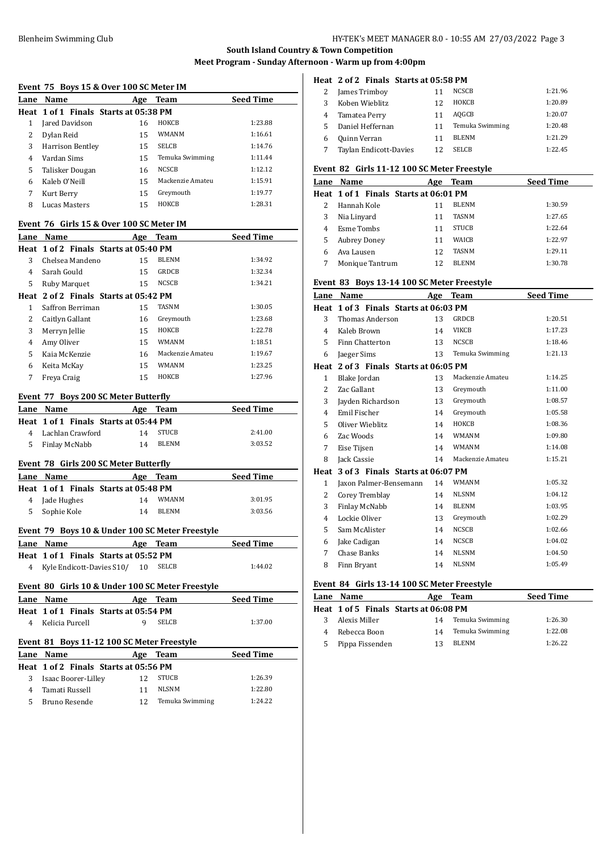#### Blenheim Swimming Club HY-TEK's MEET MANAGER 8.0 - 10:55 AM 27/03/2022 Page 3

# **South Island Country & Town Competition Meet Program - Sunday Afternoon - Warm up from 4:00pm**

#### **Event 75 Boys 15 & Over 100 SC Meter IM**

| Livent 75 Doys 15 & Over 100 56 Meter IM |                                       |     |                  |                  |
|------------------------------------------|---------------------------------------|-----|------------------|------------------|
| Lane                                     | Name                                  | Age | Team             | <b>Seed Time</b> |
|                                          | Heat 1 of 1 Finals Starts at 05:38 PM |     |                  |                  |
|                                          | Jared Davidson                        | 16  | HOKCB            | 1:23.88          |
| 2                                        | Dylan Reid                            | 15  | <b>WMANM</b>     | 1:16.61          |
| 3                                        | Harrison Bentley                      | 15  | <b>SELCB</b>     | 1:14.76          |
| 4                                        | Vardan Sims                           | 15  | Temuka Swimming  | 1:11.44          |
| 5                                        | Talisker Dougan                       | 16  | <b>NCSCB</b>     | 1:12.12          |
| 6                                        | Kaleb O'Neill                         | 15  | Mackenzie Amateu | 1:15.91          |
| 7                                        | Kurt Berry                            | 15  | Greymouth        | 1:19.77          |
| 8                                        | Lucas Masters                         | 15  | HOKCB            | 1:28.31          |
|                                          |                                       |     |                  |                  |

#### **Event 76 Girls 15 & Over 100 SC Meter IM**

| Lane | Name                                  | Age | Team             | <b>Seed Time</b> |
|------|---------------------------------------|-----|------------------|------------------|
|      | Heat 1 of 2 Finals Starts at 05:40 PM |     |                  |                  |
| 3    | Chelsea Mandeno                       | 15  | <b>BLENM</b>     | 1:34.92          |
| 4    | Sarah Gould                           | 15  | GRDCB            | 1:32.34          |
| 5    | Ruby Marquet                          | 15  | <b>NCSCB</b>     | 1:34.21          |
|      | Heat 2 of 2 Finals Starts at 05:42 PM |     |                  |                  |
| 1    | Saffron Berriman                      | 15  | TASNM            | 1:30.05          |
| 2    | Caitlyn Gallant                       | 16  | Greymouth        | 1:23.68          |
| 3    | Merryn Jellie                         | 15  | ноксв            | 1:22.78          |
| 4    | Amy Oliver                            | 15  | WMANM            | 1:18.51          |
| 5    | Kaja McKenzie                         | 16  | Mackenzie Amateu | 1:19.67          |
| 6    | Keita McKay                           | 15  | WMANM            | 1:23.25          |
| 7    | Freya Craig                           | 15  | HOKCB            | 1:27.96          |

#### **Event 77 Boys 200 SC Meter Butterfly**

|                                       | Lane Name                             | Age | Team         | <b>Seed Time</b> |
|---------------------------------------|---------------------------------------|-----|--------------|------------------|
|                                       | Heat 1 of 1 Finals Starts at 05:44 PM |     |              |                  |
| 4                                     | Lachlan Crawford                      | 14  | <b>STUCB</b> | 2:41.00          |
|                                       | 5 Finlay McNabb                       | 14  | <b>BLENM</b> | 3:03.52          |
| Event 78 Girls 200 SC Meter Butterfly |                                       |     |              |                  |

# **Lane Name Age Team Seed Time Heat 1 of 1 Finals Starts at 05:48 PM** Jade Hughes 14 WMANM 3:01.95 Sophie Kole 14 BLENM 3:03.56

#### **Event 79 Boys 10 & Under 100 SC Meter Freestyle**

| Lane Name                             |  | Age Team | <b>Seed Time</b> |
|---------------------------------------|--|----------|------------------|
| Heat 1 of 1 Finals Starts at 05:52 PM |  |          |                  |
| 4 Kyle Endicott-Davies S10/ 10        |  | SELCB    | 1:44.02          |

### **Event 80 Girls 10 & Under 100 SC Meter Freestyle**

| Lane Name         | Age Team                              | <b>Seed Time</b> |
|-------------------|---------------------------------------|------------------|
|                   | Heat 1 of 1 Finals Starts at 05:54 PM |                  |
| 4 Kelicia Purcell | SELCB<br>Q                            | 1:37.00          |

# **Event 81 Boys 11-12 100 SC Meter Freestyle**

| <b>Lane Name</b>    | Age | Team            | <b>Seed Time</b>                      |
|---------------------|-----|-----------------|---------------------------------------|
|                     |     |                 |                                       |
| Isaac Boorer-Lilley | 12  | <b>STUCB</b>    | 1:26.39                               |
| Tamati Russell      |     | NLSNM           | 1:22.80                               |
| Bruno Resende       | 12  | Temuka Swimming | 1.2422                                |
|                     |     |                 | Heat 1 of 2 Finals Starts at 05:56 PM |

### **Heat 2 of 2 Finals Starts at 05:58 PM**

| 2 | James Trimboy          | 11 | NCSCB           | 1:21.96 |
|---|------------------------|----|-----------------|---------|
| 3 | Koben Wieblitz         | 12 | HOKCB           | 1:20.89 |
| 4 | Tamatea Perry          | 11 | AOGCB           | 1:20.07 |
| 5 | Daniel Heffernan       | 11 | Temuka Swimming | 1:20.48 |
| 6 | Quinn Verran           | 11 | <b>BLENM</b>    | 1:21.29 |
|   | Taylan Endicott-Davies | 12 | <b>SELCB</b>    | 1:22.45 |

### **Event 82 Girls 11-12 100 SC Meter Freestyle**

|   | <b>Lane Name</b>                      | Age | <b>Team</b>  | <b>Seed Time</b> |
|---|---------------------------------------|-----|--------------|------------------|
|   | Heat 1 of 1 Finals Starts at 06:01 PM |     |              |                  |
|   | Hannah Kole                           | 11  | <b>BLENM</b> | 1:30.59          |
| 3 | Nia Linyard                           | 11  | <b>TASNM</b> | 1:27.65          |
| 4 | Esme Tombs                            | 11  | <b>STUCB</b> | 1:22.64          |
| 5 | <b>Aubrey Doney</b>                   | 11  | <b>WAICB</b> | 1:22.97          |
| 6 | Ava Lausen                            | 12  | <b>TASNM</b> | 1:29.11          |
|   | Monique Tantrum                       | 12  | <b>BLENM</b> | 1:30.78          |

#### **Event 83 Boys 13-14 100 SC Meter Freestyle**

| Lane           | Name                                  | Age | Team             | <b>Seed Time</b> |
|----------------|---------------------------------------|-----|------------------|------------------|
| Heat           | 1 of 3 Finals Starts at 06:03 PM      |     |                  |                  |
| 3              | Thomas Anderson                       | 13  | <b>GRDCB</b>     | 1:20.51          |
| 4              | Kaleb Brown                           | 14  | <b>VIKCB</b>     | 1:17.23          |
| 5              | Finn Chatterton                       | 13  | <b>NCSCB</b>     | 1:18.46          |
| 6              | Jaeger Sims                           | 13  | Temuka Swimming  | 1:21.13          |
|                | Heat 2 of 3 Finals Starts at 06:05 PM |     |                  |                  |
| $\mathbf{1}$   | Blake Jordan                          | 13  | Mackenzie Amateu | 1:14.25          |
| $\overline{c}$ | Zac Gallant                           | 13  | Greymouth        | 1:11.00          |
| 3              | Jayden Richardson                     | 13  | Greymouth        | 1:08.57          |
| 4              | Emil Fischer                          | 14  | Greymouth        | 1:05.58          |
| 5              | Oliver Wieblitz                       | 14  | ноксв            | 1:08.36          |
| 6              | Zac Woods                             | 14  | <b>WMANM</b>     | 1:09.80          |
| 7              | Eise Tijsen                           | 14  | <b>WMANM</b>     | 1:14.08          |
| 8              | Jack Cassie                           | 14  | Mackenzie Amateu | 1:15.21          |
| Heat           | 3 of 3 Finals Starts at 06:07 PM      |     |                  |                  |
| $\mathbf{1}$   | Jaxon Palmer-Bensemann                | 14  | <b>WMANM</b>     | 1:05.32          |
| 2              | Corey Tremblay                        | 14  | <b>NLSNM</b>     | 1:04.12          |
| 3              | Finlay McNabb                         | 14  | <b>BLENM</b>     | 1:03.95          |
| 4              | Lockie Oliver                         | 13  | Greymouth        | 1:02.29          |
| 5              | Sam McAlister                         | 14  | <b>NCSCB</b>     | 1:02.66          |
| 6              | Jake Cadigan                          | 14  | <b>NCSCB</b>     | 1:04.02          |
| 7              | Chase Banks                           | 14  | <b>NLSNM</b>     | 1:04.50          |
| 8              | Finn Bryant                           | 14  | <b>NLSNM</b>     | 1:05.49          |
|                |                                       |     |                  |                  |

# **Event 84 Girls 13-14 100 SC Meter Freestyle**

|   | Lane Name                             | Age | Team            | <b>Seed Time</b> |
|---|---------------------------------------|-----|-----------------|------------------|
|   | Heat 1 of 5 Finals Starts at 06:08 PM |     |                 |                  |
|   | Alexis Miller                         | 14  | Temuka Swimming | 1:26.30          |
|   | Rebecca Boon                          | 14  | Temuka Swimming | 1:22.08          |
| 5 | Pippa Fissenden                       | 13  | BLENM           | 1:26.22          |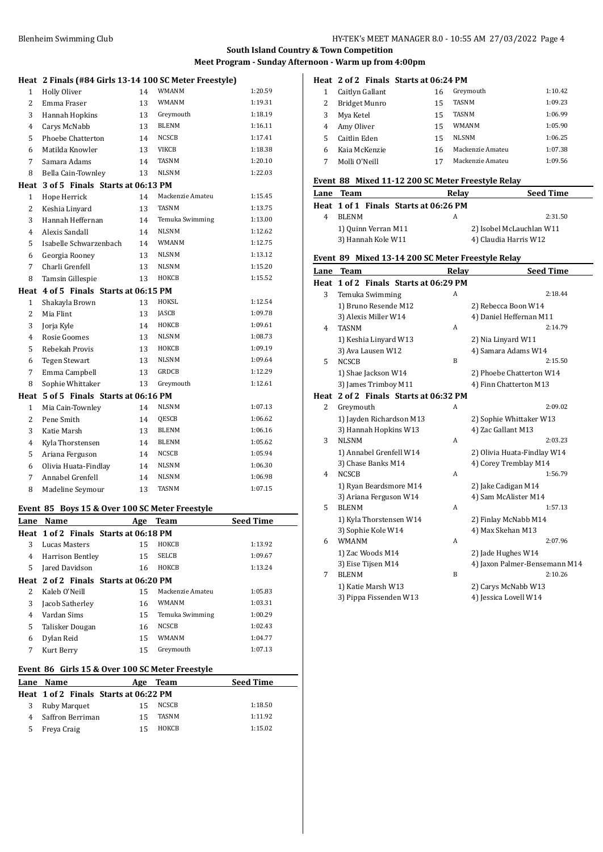|                | Heat 2 Finals (#84 Girls 13-14 100 SC Meter Freestyle)                                                          |    |                  |         |
|----------------|-----------------------------------------------------------------------------------------------------------------|----|------------------|---------|
| $\mathbf{1}$   | <b>Holly Oliver</b>                                                                                             | 14 | <b>WMANM</b>     | 1:20.59 |
| $\overline{2}$ | Emma Fraser                                                                                                     | 13 | <b>WMANM</b>     | 1:19.31 |
| 3              | Hannah Hopkins                                                                                                  | 13 | Greymouth        | 1:18.19 |
| $\overline{4}$ | Carys McNabb                                                                                                    | 13 | <b>BLENM</b>     | 1:16.11 |
| 5              | Phoebe Chatterton                                                                                               | 14 | <b>NCSCB</b>     | 1:17.41 |
| 6              | Matilda Knowler                                                                                                 | 13 | VIKCB            | 1:18.38 |
| 7              | Samara Adams                                                                                                    | 14 | <b>TASNM</b>     | 1:20.10 |
| 8              | Bella Cain-Townley                                                                                              | 13 | <b>NLSNM</b>     | 1:22.03 |
| Heat           | 3 of 5 Finals Starts at 06:13 PM                                                                                |    |                  |         |
| $\mathbf{1}$   | Hope Herrick                                                                                                    | 14 | Mackenzie Amateu | 1:15.45 |
| 2              | Keshia Linyard                                                                                                  | 13 | <b>TASNM</b>     | 1:13.75 |
| 3              | Hannah Heffernan                                                                                                | 14 | Temuka Swimming  | 1:13.00 |
| $\overline{4}$ | Alexis Sandall                                                                                                  | 14 | <b>NLSNM</b>     | 1:12.62 |
| 5              | Isabelle Schwarzenbach                                                                                          | 14 | <b>WMANM</b>     | 1:12.75 |
| 6              | Georgia Rooney                                                                                                  | 13 | <b>NLSNM</b>     | 1:13.12 |
| 7              | Charli Grenfell                                                                                                 | 13 | <b>NLSNM</b>     | 1:15.20 |
| 8              | Tamsin Gillespie                                                                                                | 13 | HOKCB            | 1:15.52 |
| Heat           | 4 of 5 Finals Starts at 06:15 PM                                                                                |    |                  |         |
| 1              | Shakayla Brown                                                                                                  | 13 | HOKSL            | 1:12.54 |
| $\overline{c}$ | Mia Flint                                                                                                       | 13 | <b>JASCB</b>     | 1:09.78 |
| 3              | Jorja Kyle                                                                                                      | 14 | НОКСВ            | 1:09.61 |
| 4              | Rosie Goomes                                                                                                    | 13 | <b>NLSNM</b>     | 1:08.73 |
| 5              | Rebekah Provis                                                                                                  | 13 | НОКСВ            | 1:09.19 |
| 6              | <b>Tegen Stewart</b>                                                                                            | 13 | <b>NLSNM</b>     | 1:09.64 |
| 7              | Emma Campbell                                                                                                   | 13 | <b>GRDCB</b>     | 1:12.29 |
| 8              | Sophie Whittaker                                                                                                | 13 | Greymouth        | 1:12.61 |
| Heat           | 5 of 5 Finals Starts at 06:16 PM                                                                                |    |                  |         |
| $\mathbf{1}$   | Mia Cain-Townley                                                                                                | 14 | <b>NLSNM</b>     | 1:07.13 |
| $\overline{c}$ | Pene Smith                                                                                                      | 14 | QESCB            | 1:06.62 |
| 3              | Katie Marsh                                                                                                     | 13 | <b>BLENM</b>     | 1:06.16 |
| 4              | Kyla Thorstensen                                                                                                | 14 | <b>BLENM</b>     | 1:05.62 |
| 5              | Ariana Ferguson                                                                                                 | 14 | NCSCB            | 1:05.94 |
| 6              | Olivia Huata-Findlay                                                                                            | 14 | <b>NLSNM</b>     | 1:06.30 |
| 7              | Annabel Grenfell                                                                                                | 14 | <b>NLSNM</b>     | 1:06.98 |
| 8              | Madeline Seymour                                                                                                | 13 | TASNM            | 1:07.15 |
|                | Evant, $0F$ , $P_{\text{grav}}$ $4F$ , $\theta$ , $Q_{\text{grav}}$ $4.00$ , $5C$ , $M_{\text{atom}}$ Exceptive |    |                  |         |

#### **Event 85 Boys 15 & Over 100 SC Meter Freestyle**

| Lane | Name                                  | Age | Team             | <b>Seed Time</b> |
|------|---------------------------------------|-----|------------------|------------------|
|      | Heat 1 of 2 Finals Starts at 06:18 PM |     |                  |                  |
| 3    | Lucas Masters                         | 15  | HOKCB            | 1:13.92          |
| 4    | Harrison Bentley                      | 15  | <b>SELCB</b>     | 1:09.67          |
| 5    | Jared Davidson                        | 16  | HOKCB            | 1:13.24          |
|      | Heat 2 of 2 Finals Starts at 06:20 PM |     |                  |                  |
| 2    | Kaleb O'Neill                         | 15  | Mackenzie Amateu | 1:05.83          |
| 3    | Jacob Satherley                       | 16  | WMANM            | 1:03.31          |
| 4    | Vardan Sims                           | 15  | Temuka Swimming  | 1:00.29          |
| 5    | Talisker Dougan                       | 16  | <b>NCSCB</b>     | 1:02.43          |
| 6    | Dylan Reid                            | 15  | WMANM            | 1:04.77          |
| 7    | Kurt Berry                            | 15  | Greymouth        | 1:07.13          |

# **Event 86 Girls 15 & Over 100 SC Meter Freestyle**

|   | Lane Name                             | Age | Team  | <b>Seed Time</b> |
|---|---------------------------------------|-----|-------|------------------|
|   | Heat 1 of 2 Finals Starts at 06:22 PM |     |       |                  |
| 3 | Ruby Marquet                          | 15  | NCSCB | 1:18.50          |
|   | Saffron Berriman                      | 15  | TASNM | 1:11.92          |
| 5 | Freya Craig                           | 15  | ноксв | 1:15.02          |

### **Heat 2 of 2 Finals Starts at 06:24 PM**

|    | Caitlyn Gallant | 16 | Greymouth        | 1:10.42 |
|----|-----------------|----|------------------|---------|
|    | Bridget Munro   | 15 | <b>TASNM</b>     | 1:09.23 |
|    | Mya Ketel       | 15 | <b>TASNM</b>     | 1:06.99 |
| 4  | Amy Oliver      | 15 | <b>WMANM</b>     | 1:05.90 |
| 5. | Caitlin Eden    | 15 | <b>NLSNM</b>     | 1:06.25 |
| 6  | Kaia McKenzie   | 16 | Mackenzie Amateu | 1:07.38 |
|    | Molli O'Neill   | 17 | Mackenzie Amateu | 1:09.56 |

#### **Event 88 Mixed 11-12 200 SC Meter Freestyle Relay**

| <b>Lane Team</b>    | Relav                                 | <b>Seed Time</b>         |
|---------------------|---------------------------------------|--------------------------|
|                     | Heat 1 of 1 Finals Starts at 06:26 PM |                          |
| <b>BLENM</b>        | A                                     | 2:31.50                  |
| 1) Quinn Verran M11 |                                       | 2) Isobel McLauchlan W11 |
| 3) Hannah Kole W11  |                                       | 4) Claudia Harris W12    |

# **Event 89 Mixed 13-14 200 SC Meter Freestyle Relay**

| Lane | <b>Team</b>                           | Relay | <b>Seed Time</b>              |
|------|---------------------------------------|-------|-------------------------------|
|      | Heat 1 of 2 Finals Starts at 06:29 PM |       |                               |
| 3    | Temuka Swimming                       | A     | 2:18.44                       |
|      | 1) Bruno Resende M12                  |       | 2) Rebecca Boon W14           |
|      | 3) Alexis Miller W14                  |       | 4) Daniel Heffernan M11       |
| 4    | <b>TASNM</b>                          | A     | 2:14.79                       |
|      | 1) Keshia Linyard W13                 |       | 2) Nia Linyard W11            |
|      | 3) Ava Lausen W12                     |       | 4) Samara Adams W14           |
| 5    | <b>NCSCB</b>                          | B     | 2:15.50                       |
|      | 1) Shae Jackson W14                   |       | 2) Phoebe Chatterton W14      |
|      | 3) James Trimboy M11                  |       | 4) Finn Chatterton M13        |
| Heat | 2 of 2 Finals Starts at 06:32 PM      |       |                               |
| 2    | Greymouth                             | A     | 2:09.02                       |
|      | 1) Jayden Richardson M13              |       | 2) Sophie Whittaker W13       |
|      | 3) Hannah Hopkins W13                 |       | 4) Zac Gallant M13            |
| 3    | <b>NLSNM</b>                          | A     | 2:03.23                       |
|      | 1) Annabel Grenfell W14               |       | 2) Olivia Huata-Findlay W14   |
|      | 3) Chase Banks M14                    |       | 4) Corey Tremblay M14         |
| 4    | <b>NCSCB</b>                          | A     | 1:56.79                       |
|      | 1) Ryan Beardsmore M14                |       | 2) Jake Cadigan M14           |
|      | 3) Ariana Ferguson W14                |       | 4) Sam McAlister M14          |
| 5    | <b>BLENM</b>                          | A     | 1:57.13                       |
|      | 1) Kyla Thorstensen W14               |       | 2) Finlay McNabb M14          |
|      | 3) Sophie Kole W14                    |       | 4) Max Skehan M13             |
| 6    | <b>WMANM</b>                          | A     | 2:07.96                       |
|      | 1) Zac Woods M14                      |       | 2) Jade Hughes W14            |
|      | 3) Eise Tijsen M14                    |       | 4) Jaxon Palmer-Bensemann M14 |
| 7    | <b>BLENM</b>                          | B     | 2:10.26                       |
|      | 1) Katie Marsh W13                    |       | 2) Carys McNabb W13           |
|      | 3) Pippa Fissenden W13                |       | 4) Jessica Lovell W14         |